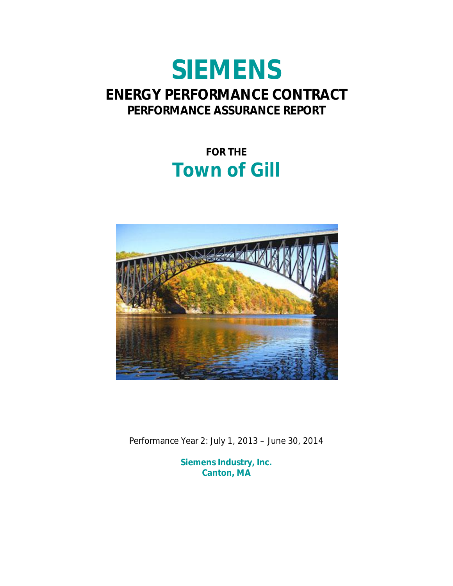# **SIEMENS ENERGY PERFORMANCE CONTRACT PERFORMANCE ASSURANCE REPORT**

# **FOR THE Town of Gill**



Performance Year 2: July 1, 2013 – June 30, 2014

**Siemens Industry, Inc. Canton, MA**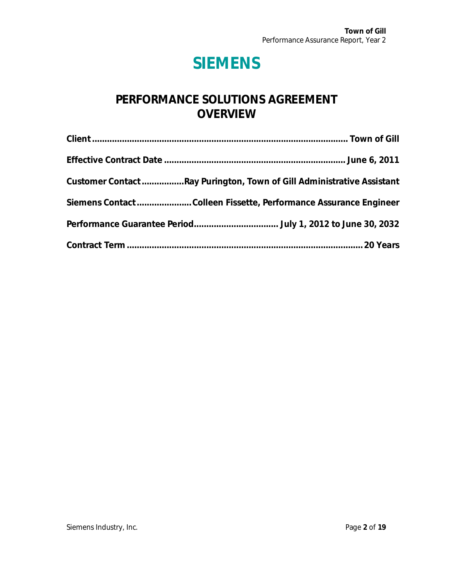# **SIEMENS**

## **PERFORMANCE SOLUTIONS AGREEMENT OVERVIEW**

| Customer Contact Ray Purington, Town of Gill Administrative Assistant |
|-----------------------------------------------------------------------|
| Siemens ContactColleen Fissette, Performance Assurance Engineer       |
|                                                                       |
|                                                                       |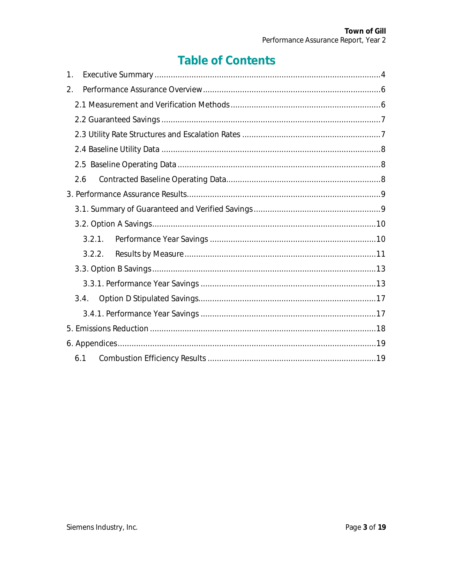# **Table of Contents**

| $\mathbf{1}$ .                  |
|---------------------------------|
| $2_{\scriptscriptstyle{\perp}}$ |
|                                 |
|                                 |
|                                 |
|                                 |
|                                 |
| 2.6                             |
|                                 |
|                                 |
|                                 |
| 3.2.1.                          |
| 3.2.2.                          |
|                                 |
|                                 |
| 3.4.                            |
|                                 |
|                                 |
|                                 |
| 6.1                             |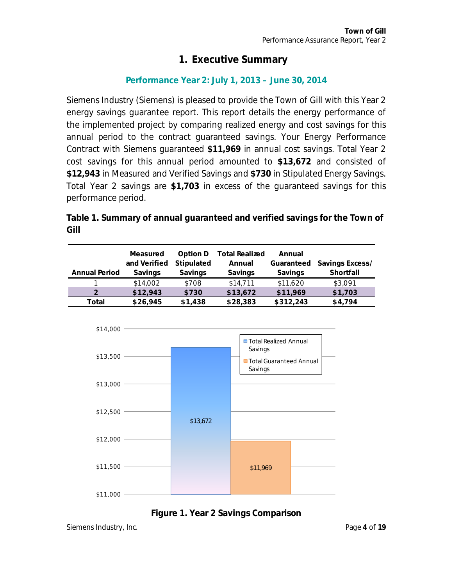## <span id="page-3-0"></span>**1. Executive Summary**

### **Performance Year 2: July 1, 2013 – June 30, 2014**

Siemens Industry (Siemens) is pleased to provide the Town of Gill with this Year 2 energy savings guarantee report. This report details the energy performance of the implemented project by comparing realized energy and cost savings for this annual period to the contract guaranteed savings. Your Energy Performance Contract with Siemens guaranteed **\$11,969** in annual cost savings. Total Year 2 cost savings for this annual period amounted to **\$13,672** and consisted of **\$12,943** in Measured and Verified Savings and **\$730** in Stipulated Energy Savings. Total Year 2 savings are **\$1,703** in excess of the guaranteed savings for this performance period.

**Table 1. Summary of annual guaranteed and verified savings for the Town of Gill** 

|                      | Measured     | Option D   | <b>Total Realized</b> | Annual     |                 |
|----------------------|--------------|------------|-----------------------|------------|-----------------|
|                      | and Verified | Stipulated | Annual                | Guaranteed | Savings Excess/ |
| <b>Annual Period</b> | Savings      | Savings    | Savings               | Savings    | Shortfall       |
|                      | \$14,002     | \$708      | \$14,711              | \$11,620   | \$3,091         |
|                      | \$12,943     | \$730      | \$13,672              | \$11,969   | \$1,703         |
| Total                | \$26,945     | \$1,438    | \$28,383              | \$312,243  | \$4.794         |





Siemens Industry, Inc. Page **4** of **19**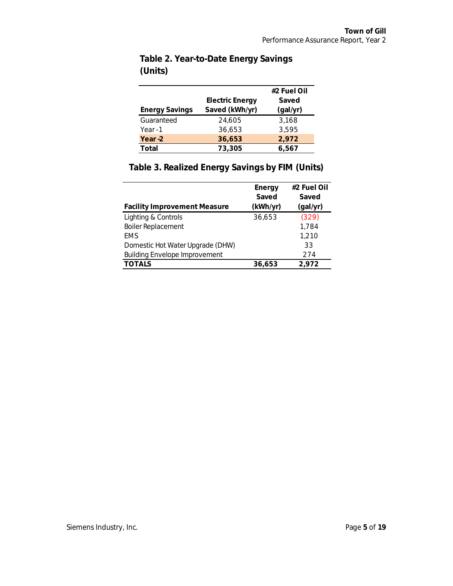|                       |                        | #2 Fuel Oil |
|-----------------------|------------------------|-------------|
|                       | <b>Electric Energy</b> | Saved       |
| <b>Energy Savings</b> | Saved (kWh/yr)         | (gal/yr)    |
| Guaranteed            | 24.605                 | 3.168       |
| Year - 1              | 36,653                 | 3,595       |
| Year -2               | 36,653                 | 2,972       |
| Total                 | 73,305                 | 6.567       |

## **Table 2. Year-to-Date Energy Savings (Units)**

## **Table 3. Realized Energy Savings by FIM (Units)**

|                                      | Energy   | #2 Fuel Oil |
|--------------------------------------|----------|-------------|
|                                      | Saved    | Saved       |
| <b>Facility Improvement Measure</b>  | (kWh/yr) | (gal/yr)    |
| Lighting & Controls                  | 36,653   | (329)       |
| <b>Boiler Replacement</b>            |          | 1,784       |
| <b>EMS</b>                           |          | 1,210       |
| Domestic Hot Water Upgrade (DHW)     |          | 33          |
| <b>Building Envelope Improvement</b> |          | 274         |
| <b>TOTALS</b>                        | 36,653   | 2,972       |
|                                      |          |             |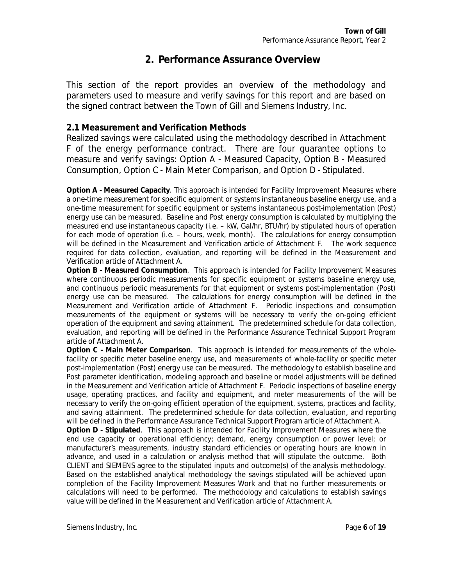## <span id="page-5-0"></span>**2. Performance Assurance Overview**

This section of the report provides an overview of the methodology and parameters used to measure and verify savings for this report and are based on the signed contract between the Town of Gill and Siemens Industry, Inc.

#### <span id="page-5-1"></span>**2.1 Measurement and Verification Methods**

Realized savings were calculated using the methodology described in Attachment F of the energy performance contract. There are four guarantee options to measure and verify savings: Option A - Measured Capacity, Option B - Measured Consumption, Option C - Main Meter Comparison, and Option D - Stipulated.

**Option A - Measured Capacity**. This approach is intended for Facility Improvement Measures where a one-time measurement for specific equipment or systems instantaneous baseline energy use, and a one-time measurement for specific equipment or systems instantaneous post-implementation (Post) energy use can be measured. Baseline and Post energy consumption is calculated by multiplying the measured end use instantaneous capacity (i.e. – kW, Gal/hr, BTU/hr) by stipulated hours of operation for each mode of operation (i.e. – hours, week, month). The calculations for energy consumption will be defined in the Measurement and Verification article of Attachment F. The work sequence required for data collection, evaluation, and reporting will be defined in the Measurement and Verification article of Attachment A.

**Option B - Measured Consumption**. This approach is intended for Facility Improvement Measures where continuous periodic measurements for specific equipment or systems baseline energy use, and continuous periodic measurements for that equipment or systems post-implementation (Post) energy use can be measured. The calculations for energy consumption will be defined in the Measurement and Verification article of Attachment F. Periodic inspections and consumption measurements of the equipment or systems will be necessary to verify the on-going efficient operation of the equipment and saving attainment. The predetermined schedule for data collection, evaluation, and reporting will be defined in the Performance Assurance Technical Support Program article of Attachment A.

**Option C - Main Meter Comparison**. This approach is intended for measurements of the wholefacility or specific meter baseline energy use, and measurements of whole-facility or specific meter post-implementation (Post) energy use can be measured. The methodology to establish baseline and Post parameter identification, modeling approach and baseline or model adjustments will be defined in the Measurement and Verification article of Attachment F. Periodic inspections of baseline energy usage, operating practices, and facility and equipment, and meter measurements of the will be necessary to verify the on-going efficient operation of the equipment, systems, practices and facility, and saving attainment. The predetermined schedule for data collection, evaluation, and reporting will be defined in the Performance Assurance Technical Support Program article of Attachment A. **Option D - Stipulated**. This approach is intended for Facility Improvement Measures where the end use capacity or operational efficiency; demand, energy consumption or power level; or manufacturer's measurements, industry standard efficiencies or operating hours are known in advance, and used in a calculation or analysis method that will stipulate the outcome. Both CLIENT and SIEMENS agree to the stipulated inputs and outcome(s) of the analysis methodology. Based on the established analytical methodology the savings stipulated will be achieved upon completion of the Facility Improvement Measures Work and that no further measurements or calculations will need to be performed. The methodology and calculations to establish savings value will be defined in the Measurement and Verification article of Attachment A.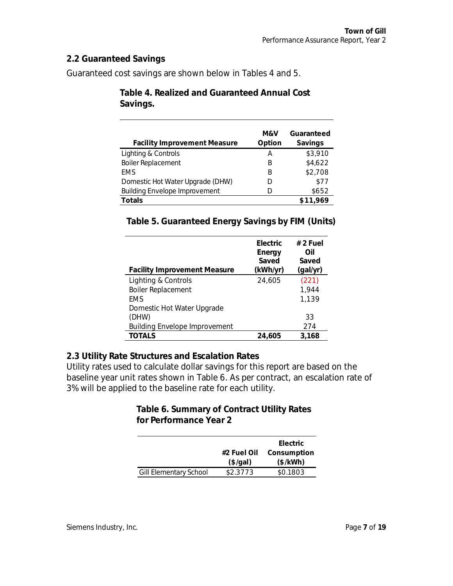#### <span id="page-6-0"></span>**2.2 Guaranteed Savings**

Guaranteed cost savings are shown below in Tables 4 and 5.

| <b>Facility Improvement Measure</b>  | M&V<br>Option | Guaranteed<br>Savings |
|--------------------------------------|---------------|-----------------------|
| Lighting & Controls                  | Α             | \$3,910               |
| <b>Boiler Replacement</b>            | B             | \$4,622               |
| <b>EMS</b>                           | B             | \$2,708               |
| Domestic Hot Water Upgrade (DHW)     | D             | \$77                  |
| <b>Building Envelope Improvement</b> | D             | \$652                 |
| Totals                               |               | \$11,969              |

**Table 4. Realized and Guaranteed Annual Cost Savings.** 

#### **Table 5. Guaranteed Energy Savings by FIM (Units)**

| <b>Facility Improvement Measure</b>  | Electric<br>Energy<br>Saved<br>(kWh/yr) | $# 2$ Fuel<br>Oil<br>Saved<br>(gal/yr) |
|--------------------------------------|-----------------------------------------|----------------------------------------|
| Lighting & Controls                  | 24,605                                  | (221)                                  |
| <b>Boiler Replacement</b>            |                                         | 1,944                                  |
| <b>FMS</b>                           |                                         | 1,139                                  |
| Domestic Hot Water Upgrade           |                                         |                                        |
| (DHW)                                |                                         | 33                                     |
| <b>Building Envelope Improvement</b> |                                         | 274                                    |
| TOTALS                               | 24,605                                  | 3,168                                  |

<span id="page-6-1"></span>**2.3 Utility Rate Structures and Escalation Rates** 

Utility rates used to calculate dollar savings for this report are based on the baseline year unit rates shown in Table 6. As per contract, an escalation rate of 3% will be applied to the baseline rate for each utility.

> **Table 6. Summary of Contract Utility Rates for Performance Year 2**

|                        |             | Electric    |
|------------------------|-------------|-------------|
|                        | #2 Fuel Oil | Consumption |
|                        | (\$/gal)    | (\$/kWh)    |
| Gill Elementary School | \$2.3773    | \$0.1803    |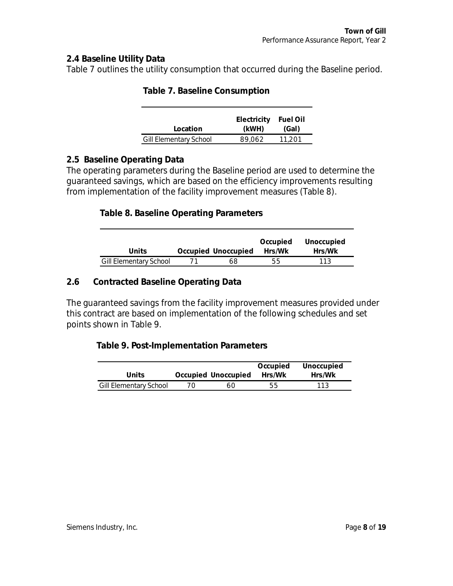#### <span id="page-7-0"></span>**2.4 Baseline Utility Data**

Table 7 outlines the utility consumption that occurred during the Baseline period.

|                        | Electricity | Fuel Oil |
|------------------------|-------------|----------|
| Location               | (kWH)       | (Gal)    |
| Gill Elementary School | 89.062      | 11.201   |

| Table 7. Baseline Consumption |  |
|-------------------------------|--|
|                               |  |

#### <span id="page-7-1"></span>**2.5 Baseline Operating Data**

The operating parameters during the Baseline period are used to determine the guaranteed savings, which are based on the efficiency improvements resulting from implementation of the facility improvement measures (Table 8).

#### **Table 8. Baseline Operating Parameters**

| Units                  | Occupied Unoccupied | Occupied<br>Hrs/Wk | Unoccupied<br>Hrs/Wk |
|------------------------|---------------------|--------------------|----------------------|
| Gill Elementary School | 68                  | 55                 | 113                  |

#### <span id="page-7-2"></span>**2.6 Contracted Baseline Operating Data**

The guaranteed savings from the facility improvement measures provided under this contract are based on implementation of the following schedules and set points shown in Table 9.

**Table 9. Post-Implementation Parameters** 

|                        |    |                            | Occupied | Unoccupied |
|------------------------|----|----------------------------|----------|------------|
| Units                  |    | Occupied Unoccupied Hrs/Wk |          | Hrs/Wk     |
| Gill Elementary School | 70 | 60                         | 55       | 113        |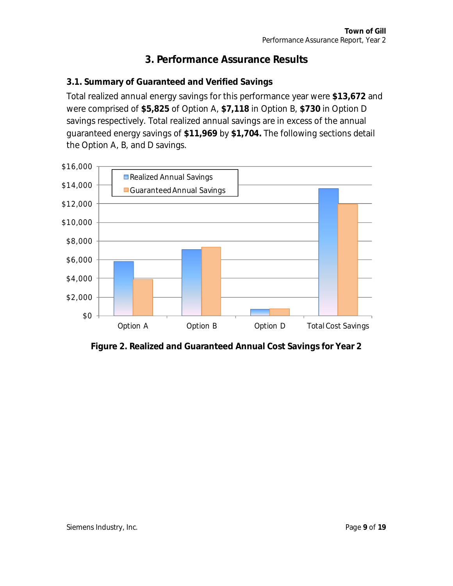## <span id="page-8-0"></span>**3. Performance Assurance Results**

## <span id="page-8-1"></span>**3.1. Summary of Guaranteed and Verified Savings**

Total realized annual energy savings for this performance year were **\$13,672** and were comprised of **\$5,825** of Option A, **\$7,118** in Option B, **\$730** in Option D savings respectively. Total realized annual savings are in excess of the annual guaranteed energy savings of **\$11,969** by **\$1,704.** The following sections detail the Option A, B, and D savings.



**Figure 2. Realized and Guaranteed Annual Cost Savings for Year 2**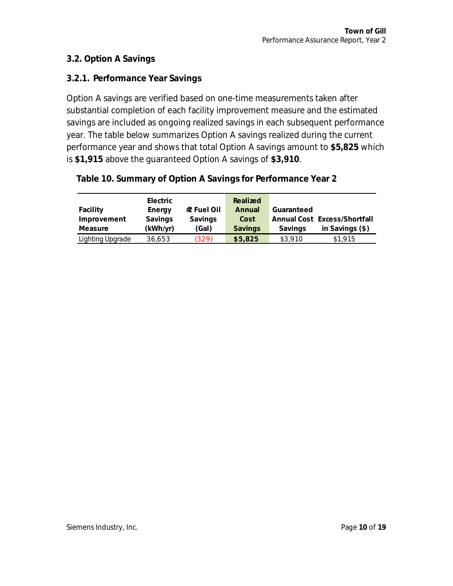#### <span id="page-9-0"></span>**3.2. Option A Savings**

#### <span id="page-9-1"></span>**3.2.1. Performance Year Savings**

Option A savings are verified based on one-time measurements taken after substantial completion of each facility improvement measure and the estimated savings are included as ongoing realized savings in each subsequent performance year. The table below summarizes Option A savings realized during the current performance year and shows that total Option A savings amount to **\$5,825** which is **\$1,915** above the guaranteed Option A savings of **\$3,910**.

|  |  |  |  | Table 10. Summary of Option A Savings for Performance Year 2 |  |
|--|--|--|--|--------------------------------------------------------------|--|
|--|--|--|--|--------------------------------------------------------------|--|

|                         | Electric |             | Realized |                              |
|-------------------------|----------|-------------|----------|------------------------------|
| Facility                | Energy   | #2 Fuel Oil | Annual   | Guaranteed                   |
| Improvement             | Savings  | Savings     | Cost     | Annual Cost Excess/Shortfall |
| Measure                 | (kWh/yr) | (Gal)       | Savings  | in Savings $(\$)$<br>Savings |
| <b>Lighting Upgrade</b> | 36,653   | (329)       | \$5,825  | \$3,910<br>\$1,915           |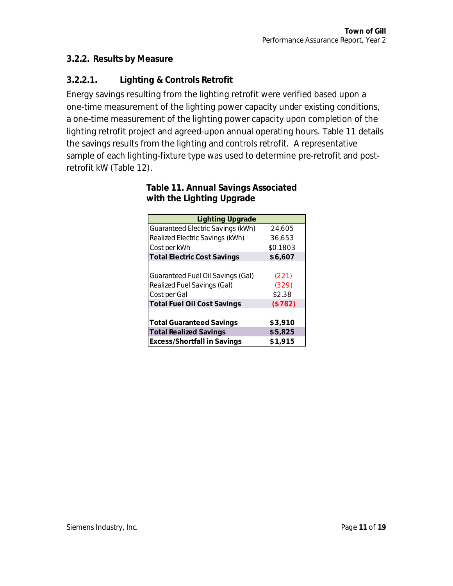#### <span id="page-10-0"></span>**3.2.2. Results by Measure**

## **3.2.2.1. Lighting & Controls Retrofit**

Energy savings resulting from the lighting retrofit were verified based upon a one-time measurement of the lighting power capacity under existing conditions, a one-time measurement of the lighting power capacity upon completion of the lighting retrofit project and agreed-upon annual operating hours. Table 11 details the savings results from the lighting and controls retrofit. A representative sample of each lighting-fixture type was used to determine pre-retrofit and postretrofit kW (Table 12).

> **Table 11. Annual Savings Associated with the Lighting Upgrade**

| <b>Lighting Upgrade</b>            |          |
|------------------------------------|----------|
| Guaranteed Electric Savings (kWh)  | 24,605   |
| Realized Electric Savings (kWh)    | 36.653   |
| Cost per kWh                       | \$0.1803 |
| <b>Total Electric Cost Savings</b> | \$6,607  |
|                                    |          |
| Guaranteed Fuel Oil Savings (Gal)  | (221)    |
| Realized Fuel Savings (Gal)        | (329)    |
| Cost per Gal                       | \$2.38   |
| <b>Total Fuel Oil Cost Savings</b> | (\$782)  |
|                                    |          |
| <b>Total Guaranteed Savings</b>    | \$3,910  |
| <b>Total Realized Savings</b>      | \$5,825  |
| <b>Excess/Shortfall in Savings</b> | \$1,915  |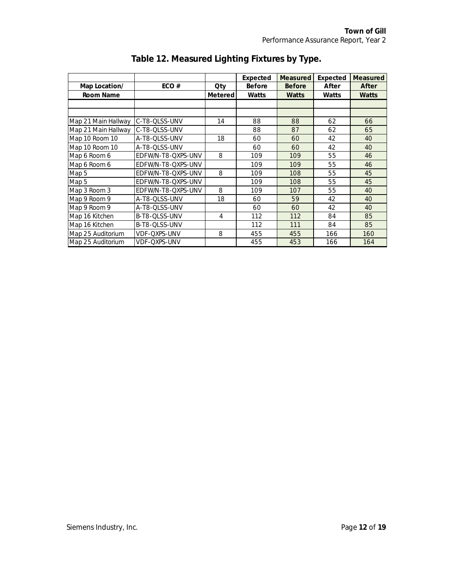|                     |                    |                | Expected | Measured | Expected | Measured |
|---------------------|--------------------|----------------|----------|----------|----------|----------|
| Map Location/       | ECO#               | Qty            | Before   | Before   | After    | After    |
| Room Name           |                    | Metered        | Watts    | Watts    | Watts    | Watts    |
|                     |                    |                |          |          |          |          |
|                     |                    |                |          |          |          |          |
| Map 21 Main Hallway | C-T8-QLSS-UNV      | 14             | 88       | 88       | 62       | 66       |
| Map 21 Main Hallway | C-T8-QLSS-UNV      |                | 88       | 87       | 62       | 65       |
| Map 10 Room 10      | A-T8-QLSS-UNV      | 18             | 60       | 60       | 42       | 40       |
| Map 10 Room 10      | A-T8-QLSS-UNV      |                | 60       | 60       | 42       | 40       |
| Map 6 Room 6        | EDFW/N-T8-QXPS-UNV | 8              | 109      | 109      | 55       | 46       |
| Map 6 Room 6        | EDFW/N-T8-QXPS-UNV |                | 109      | 109      | 55       | 46       |
| Map 5               | EDFW/N-T8-QXPS-UNV | 8              | 109      | 108      | 55       | 45       |
| Map 5               | EDFW/N-T8-QXPS-UNV |                | 109      | 108      | 55       | 45       |
| Map 3 Room 3        | EDFW/N-T8-QXPS-UNV | 8              | 109      | 107      | 55       | 40       |
| Map 9 Room 9        | A-T8-QLSS-UNV      | 18             | 60       | 59       | 42       | 40       |
| Map 9 Room 9        | A-T8-QLSS-UNV      |                | 60       | 60       | 42       | 40       |
| Map 16 Kitchen      | B-T8-QLSS-UNV      | $\overline{4}$ | 112      | 112      | 84       | 85       |
| Map 16 Kitchen      | B-T8-QLSS-UNV      |                | 112      | 111      | 84       | 85       |
| Map 25 Auditorium   | VDF-QXPS-UNV       | 8              | 455      | 455      | 166      | 160      |
| Map 25 Auditorium   | VDF-QXPS-UNV       |                | 455      | 453      | 166      | 164      |

## **Table 12. Measured Lighting Fixtures by Type.**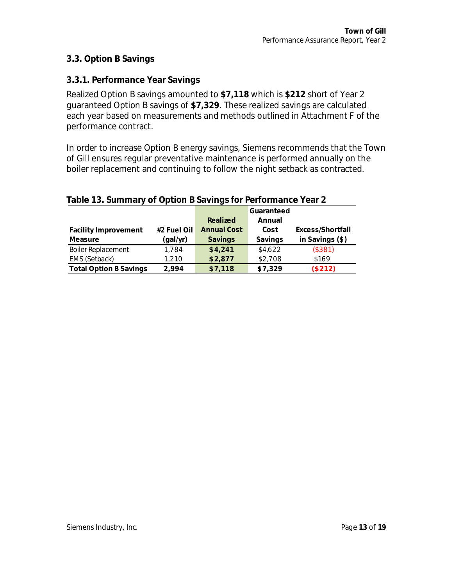#### <span id="page-12-0"></span>**3.3. Option B Savings**

#### <span id="page-12-1"></span>**3.3.1. Performance Year Savings**

Realized Option B savings amounted to **\$7,118** which is **\$212** short of Year 2 guaranteed Option B savings of **\$7,329**. These realized savings are calculated each year based on measurements and methods outlined in Attachment F of the performance contract.

In order to increase Option B energy savings, Siemens recommends that the Town of Gill ensures regular preventative maintenance is performed annually on the boiler replacement and continuing to follow the night setback as contracted.

| Table To. Surfillery of Option D Suvings for Ferromance Tear 2 |             |             |            |                   |  |
|----------------------------------------------------------------|-------------|-------------|------------|-------------------|--|
|                                                                |             |             | Guaranteed |                   |  |
|                                                                |             | Realized    | Annual     |                   |  |
| <b>Facility Improvement</b>                                    | #2 Fuel Oil | Annual Cost | Cost       | Excess/Shortfall  |  |
| Measure                                                        | (gal/yr)    | Savings     | Savings    | in Savings $(\$)$ |  |
| <b>Boiler Replacement</b>                                      | 1.784       | \$4,241     | \$4,622    | (\$381)           |  |
| EMS (Setback)                                                  | 1,210       | \$2,877     | \$2,708    | \$169             |  |
| Total Option B Savings                                         | 2.994       | \$7,118     | \$7,329    | (\$212)           |  |
|                                                                |             |             |            |                   |  |

#### **Table 13. Summary of Option B Savings for Performance Year 2**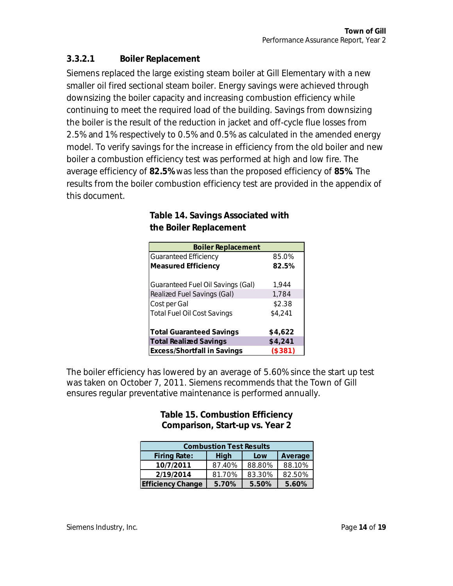### **3.3.2.1 Boiler Replacement**

Siemens replaced the large existing steam boiler at Gill Elementary with a new smaller oil fired sectional steam boiler. Energy savings were achieved through downsizing the boiler capacity and increasing combustion efficiency while continuing to meet the required load of the building. Savings from downsizing the boiler is the result of the reduction in jacket and off-cycle flue losses from 2.5% and 1% respectively to 0.5% and 0.5% as calculated in the amended energy model. To verify savings for the increase in efficiency from the old boiler and new boiler a combustion efficiency test was performed at high and low fire. The average efficiency of **82.5%** was less than the proposed efficiency of **85%**. The results from the boiler combustion efficiency test are provided in the appendix of this document.

> **Table 14. Savings Associated with the Boiler Replacement**

| <b>Boiler Replacement</b>                |         |
|------------------------------------------|---------|
| <b>Guaranteed Efficiency</b>             | 85.0%   |
| Measured Efficiency                      | 82.5%   |
|                                          |         |
| <b>Guaranteed Fuel Oil Savings (Gal)</b> | 1,944   |
| Realized Fuel Savings (Gal)              | 1,784   |
| Cost per Gal                             | \$2.38  |
| <b>Total Fuel Oil Cost Savings</b>       | \$4,241 |
|                                          |         |
| <b>Total Guaranteed Savings</b>          | \$4,622 |
| <b>Total Realized Savings</b>            | \$4,241 |
| Excess/Shortfall in Savings              | (\$381) |

The boiler efficiency has lowered by an average of 5.60% since the start up test was taken on October 7, 2011. Siemens recommends that the Town of Gill ensures regular preventative maintenance is performed annually.

> **Table 15. Combustion Efficiency Comparison, Start-up vs. Year 2**

| <b>Combustion Test Results</b> |        |        |         |  |  |
|--------------------------------|--------|--------|---------|--|--|
| <b>Firing Rate:</b>            | High   | Low    | Average |  |  |
| 10/7/2011                      | 87.40% | 88.80% | 88.10%  |  |  |
| 2/19/2014                      | 81.70% | 83.30% | 82.50%  |  |  |
| <b>Efficiency Change</b>       | 5.70%  | 5.50%  | 5.60%   |  |  |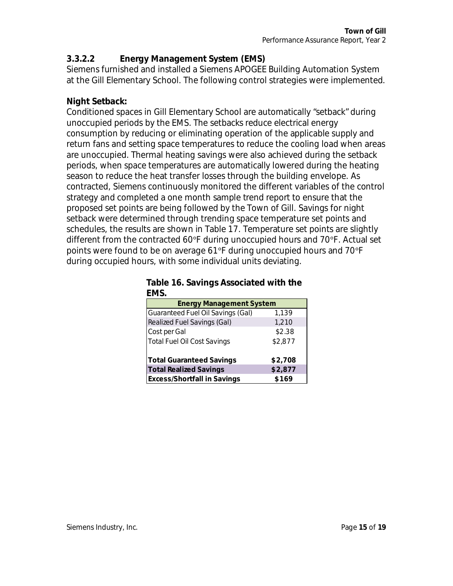**3.3.2.2 Energy Management System (EMS)** 

Siemens furnished and installed a Siemens APOGEE Building Automation System at the Gill Elementary School. The following control strategies were implemented.

#### **Night Setback:**

Conditioned spaces in Gill Elementary School are automatically "setback" during unoccupied periods by the EMS. The setbacks reduce electrical energy consumption by reducing or eliminating operation of the applicable supply and return fans and setting space temperatures to reduce the cooling load when areas are unoccupied. Thermal heating savings were also achieved during the setback periods, when space temperatures are automatically lowered during the heating season to reduce the heat transfer losses through the building envelope. As contracted, Siemens continuously monitored the different variables of the control strategy and completed a one month sample trend report to ensure that the proposed set points are being followed by the Town of Gill. Savings for night setback were determined through trending space temperature set points and schedules, the results are shown in Table 17. Temperature set points are slightly different from the contracted 60°F during unoccupied hours and 70°F. Actual set points were found to be on average 61°F during unoccupied hours and 70°F during occupied hours, with some individual units deviating.

|      |  | Table 16. Savings Associated with the |  |  |
|------|--|---------------------------------------|--|--|
| EMS. |  |                                       |  |  |

| <b>Energy Management System</b>    |         |
|------------------------------------|---------|
| Guaranteed Fuel Oil Savings (Gal)  | 1,139   |
| Realized Fuel Savings (Gal)        | 1,210   |
| Cost per Gal                       | \$2.38  |
| Total Fuel Oil Cost Savings        | \$2,877 |
| <b>Total Guaranteed Savings</b>    | \$2,708 |
| <b>Total Realized Savings</b>      | \$2,877 |
| <b>Excess/Shortfall in Savings</b> | \$169   |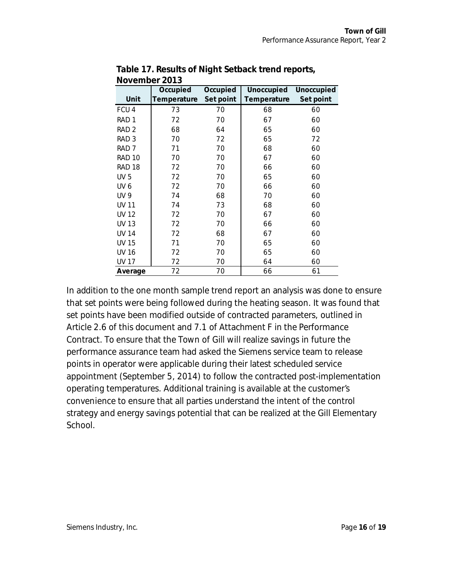| IVOVUIINUI LUIU  |             |           |             |            |
|------------------|-------------|-----------|-------------|------------|
|                  | Occupied    | Occupied  | Unoccupied  | Unoccupied |
| Unit             | Temperature | Set point | Temperature | Set point  |
| FCU4             | 73          | 70        | 68          | 60         |
| RAD <sub>1</sub> | 72          | 70        | 67          | 60         |
| RAD <sub>2</sub> | 68          | 64        | 65          | 60         |
| RAD <sub>3</sub> | 70          | 72        | 65          | 72         |
| RAD <sub>7</sub> | 71          | 70        | 68          | 60         |
| <b>RAD 10</b>    | 70          | 70        | 67          | 60         |
| <b>RAD 18</b>    | 72          | 70        | 66          | 60         |
| <b>UV 5</b>      | 72          | 70        | 65          | 60         |
| UV <sub>6</sub>  | 72          | 70        | 66          | 60         |
| <b>UV 9</b>      | 74          | 68        | 70          | 60         |
| <b>UV 11</b>     | 74          | 73        | 68          | 60         |
| UV 12            | 72          | 70        | 67          | 60         |
| <b>UV 13</b>     | 72          | 70        | 66          | 60         |
| <b>UV 14</b>     | 72          | 68        | 67          | 60         |
| <b>UV 15</b>     | 71          | 70        | 65          | 60         |
| <b>UV 16</b>     | 72          | 70        | 65          | 60         |
| <b>UV 17</b>     | 72          | 70        | 64          | 60         |
| Average          | 72          | 70        | 66          | 61         |

**Table 17. Results of Night Setback trend reports, November 2013** 

In addition to the one month sample trend report an analysis was done to ensure that set points were being followed during the heating season. It was found that set points have been modified outside of contracted parameters, outlined in Article 2.6 of this document and 7.1 of Attachment F in the Performance Contract. To ensure that the Town of Gill will realize savings in future the performance assurance team had asked the Siemens service team to release points in operator were applicable during their latest scheduled service appointment (September 5, 2014) to follow the contracted post-implementation operating temperatures. Additional training is available at the customer's convenience to ensure that all parties understand the intent of the control strategy and energy savings potential that can be realized at the Gill Elementary School.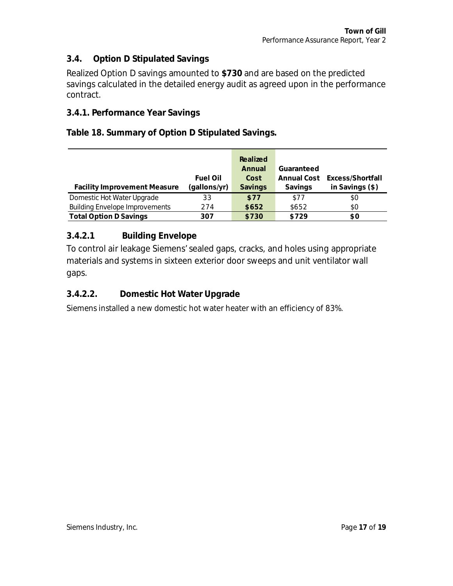#### <span id="page-16-0"></span>**3.4. Option D Stipulated Savings**

Realized Option D savings amounted to **\$730** and are based on the predicted savings calculated in the detailed energy audit as agreed upon in the performance contract.

#### <span id="page-16-1"></span>**3.4.1. Performance Year Savings**

**Table 18. Summary of Option D Stipulated Savings.** 

|                                       |              | Realized |            |                              |
|---------------------------------------|--------------|----------|------------|------------------------------|
|                                       |              | Annual   | Guaranteed |                              |
|                                       | Fuel Oil     | Cost     |            | Annual Cost Excess/Shortfall |
| <b>Facility Improvement Measure</b>   | (gallons/yr) | Savings  | Savings    | in Savings $(\$)$            |
| Domestic Hot Water Upgrade            | 33           | \$77     | \$77       | \$0                          |
| <b>Building Envelope Improvements</b> | 274          | \$652    | \$652      | \$0                          |
| <b>Total Option D Savings</b>         | 307          | \$730    | \$729      | \$0                          |

#### **3.4.2.1 Building Envelope**

To control air leakage Siemens' sealed gaps, cracks, and holes using appropriate materials and systems in sixteen exterior door sweeps and unit ventilator wall gaps.

#### **3.4.2.2. Domestic Hot Water Upgrade**

Siemens installed a new domestic hot water heater with an efficiency of 83%.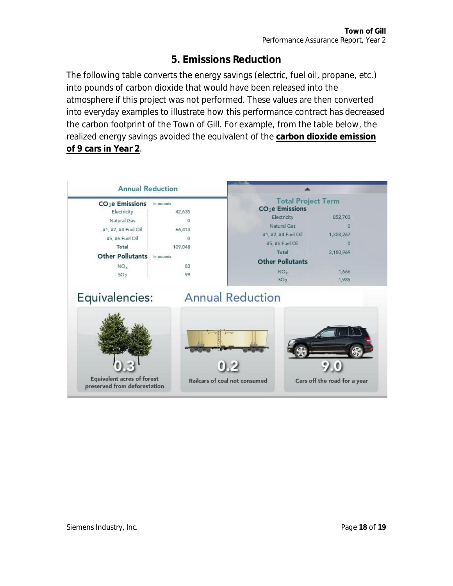## <span id="page-17-0"></span>**5. Emissions Reduction**

The following table converts the energy savings (electric, fuel oil, propane, etc.) into pounds of carbon dioxide that would have been released into the atmosphere if this project was not performed. These values are then converted into everyday examples to illustrate how this performance contract has decreased the carbon footprint of the Town of Gill. For example, from the table below, the realized energy savings avoided the equivalent of the **carbon dioxide emission of 9 cars in Year 2**.